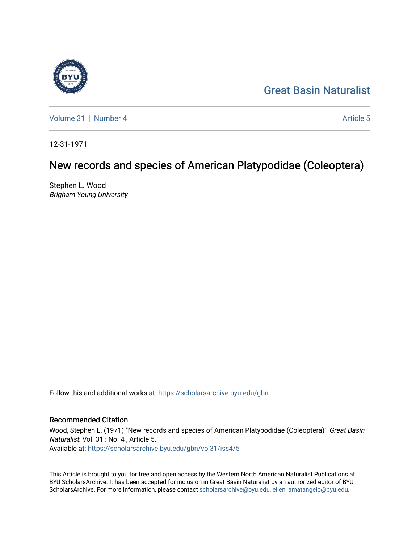# [Great Basin Naturalist](https://scholarsarchive.byu.edu/gbn)



[Volume 31](https://scholarsarchive.byu.edu/gbn/vol31) | [Number 4](https://scholarsarchive.byu.edu/gbn/vol31/iss4) Article 5

12-31-1971

# New records and species of American Platypodidae (Coleoptera)

Stephen L. Wood Brigham Young University

Follow this and additional works at: [https://scholarsarchive.byu.edu/gbn](https://scholarsarchive.byu.edu/gbn?utm_source=scholarsarchive.byu.edu%2Fgbn%2Fvol31%2Fiss4%2F5&utm_medium=PDF&utm_campaign=PDFCoverPages) 

# Recommended Citation

Wood, Stephen L. (1971) "New records and species of American Platypodidae (Coleoptera)," Great Basin Naturalist: Vol. 31 : No. 4 , Article 5. Available at: [https://scholarsarchive.byu.edu/gbn/vol31/iss4/5](https://scholarsarchive.byu.edu/gbn/vol31/iss4/5?utm_source=scholarsarchive.byu.edu%2Fgbn%2Fvol31%2Fiss4%2F5&utm_medium=PDF&utm_campaign=PDFCoverPages)

This Article is brought to you for free and open access by the Western North American Naturalist Publications at BYU ScholarsArchive. It has been accepted for inclusion in Great Basin Naturalist by an authorized editor of BYU ScholarsArchive. For more information, please contact [scholarsarchive@byu.edu, ellen\\_amatangelo@byu.edu.](mailto:scholarsarchive@byu.edu,%20ellen_amatangelo@byu.edu)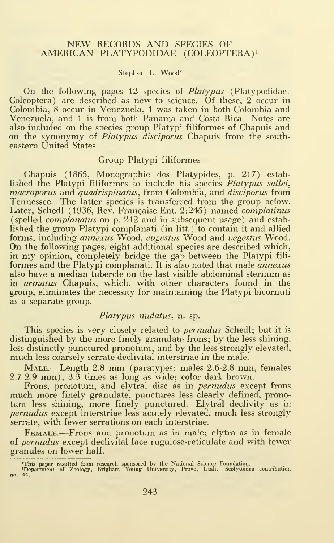#### NEW RECORDS AND SPECIES OF AMERICAN PLATYPODIDAE (COLEOPTERA) <sup>1</sup>

#### Stephen L. Wood<sup>2</sup>

On the following pages 12 species of Platypus (Platypodidae: Coleoptera) are described as new to science. Of these, 2 occur in Colombia, 8 occur in Venezuela, <sup>1</sup> was taken in both Colombia and Venezuela, and <sup>1</sup> is from both Panama and Costa Rica. Notes are also included on the species group Platypi filiformes of Chapuis and on the synonymy of *Platypus disciporus* Chapuis from the southeastern United States.

#### Group Platypi filiformes

Chapuis (1865, Monographic des Platypides, p. 217) estab lished the Platypi filiformes to include his species *Platypus sallei*, macroporus and quadrispinatus, from Colombia, and disciporus from Tennessee. The latter species is transferred from the group below. Later, Schedl (1936, Rev. Francaise Ent. 2:245) named *complatinus* (spelled complanatus on p. 242 and in subsequent usage) and estab lished the group Platypi complanati (in litt.) to contain it and allied forms, including annexus Wood, eugestus Wood and vegestus Wood. On the following pages, eight additional species are described which, in my opinion, completely bridge the gap between the Platypi fili formes and the Platypi complanati. It is also noted that male *annexus* also have a median tubercle on the last visible abdominal sternum as in *armatus* Chapuis, which, with other characters found in the group, eliminates the necessity for maintaining the Platypi bicornuti as a separate group.

#### Platypus nudatus, n. sp.

This species is very closely related to *pernudus* Schedl; but it is distinguished by the more finely granulate frons; by the less shining, less distinctly punctured pronotum; and by the less strongly elevated, much less coarsely serrate declivital interstriae in the male.

MALE.—Length 2.8 mm (paratypes: males 2.6-2.8 mm, females 2.7-2.9 mm), 3.3 times as long as wide; color dark brown.

Frons, pronotum, and elytral disc as in *pernudus* except frons much more finely granulate, punctures less clearly defined, pronotum less shining, more finely punctured. Elytral declivity as in pernudus except interstriae less acutely elevated, much less strongly serrate, with fewer serrations on each interstriae.

Female.—Frons and pronotum as in male; elytra as in female of *pernudus* except declivital face rugulose-reticulate and with fewer granules on lower half.

<sup>&</sup>lt;del>'</del>This paper resulted from research sponsored by the National Science Foundation.<br><del>'</del>Department of Zoology, <mark>Brigh</mark>am Young University, Provo, Utah. Scolytoidea contribution no. 44.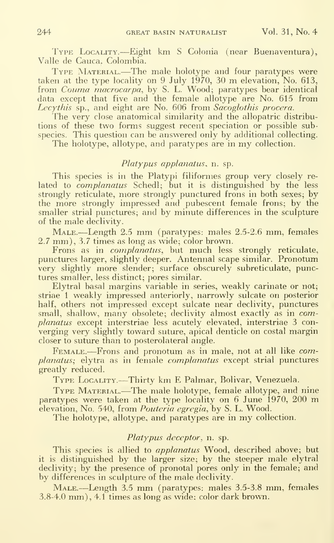Type Locality.—Eight km <sup>S</sup> Colonia (near Buenaventura), Valle de Cauca, Colombia.

TYPE MATERIAL.—The male holotype and four paratypes were taken at the type locality on <sup>9</sup> July 1970, <sup>30</sup> m elevation, No. 613, from *Couma macrocarpa*, by S. L. Wood; paratypes bear identical data except that five and the female allotype are No. 615 from Lecythis sp., and eight are No. 606 from Sacoglothis procera.

The very close anatomical similarity and the allopatric distributions of these two forms suggest recent speciation or possible subspecies. This question can be answered only by additional collecting.

The holotype, allotype, and paratypes are in my collection.

### Platypus applanatus, n. sp.

This species is in the Platypi filiformes group very closely re lated to *complanatus* Schedl; but it is distinguished by the less strongly reticulate, more strongly punctured frons in both sexes; by the more strongly impressed and pubescent female frons; by the smaller strial punctures; and by minute differences in the sculpture of the male declivity.

Male.—Length 2.5 mm (paratypes: males 2.5-2.6 mm, females 2.7 mm), 3.7 times as long as wide; color brown.

Frons as in *complanatus*, but much less strongly reticulate, punctures larger, slightly deeper. Antennal scape similar. Pronotum very slightly more slender; surface obscurely subreticulate, punctures smaller, less distinct; pores similar.

Elytral basal margins variable in series, weakly carinate or not; striae <sup>1</sup> weakly impressed anteriorly, narrowly sulcate on posterior half, others not impressed except sulcate near declivity, punctures small, shallow, many obsolete; declivity almost exactly as in complanatus except interstriae less acutely elevated, interstriae 3 converging very slightly toward suture, apical denticle on costal margin closer to suture than to posterolateral angle.

FEMALE.—Frons and pronotum as in male, not at all like complanatus; elytra as in female complanatus except strial punctures greatly reduced.

Type Locality.—Thirty km <sup>E</sup> Palmar, Bolivar, Venezuela.

Type Material.—The male holotype, female allotype, and nine paratypes were taken at the type locality on <sup>6</sup> June 1970, <sup>200</sup> m elevation, No. 540, from *Pouteria egregia*, by S. L. Wood.

The holotype, allotype, and paratypes are in my collection.

## Platypus deceptor, n. sp.

This species is allied to *applanatus* Wood, described above; but it is distinguished by the larger size; by the steeper male elytral declivity; by the presence of pronotal pores only in the female; and by differences in sculpture of the male declivity.

Male.—Length 3.5 mm (paratypes: males 3.5-3.8 mm, females 3.8-4.0 mm), 4.1 times as long as wide; color dark brown.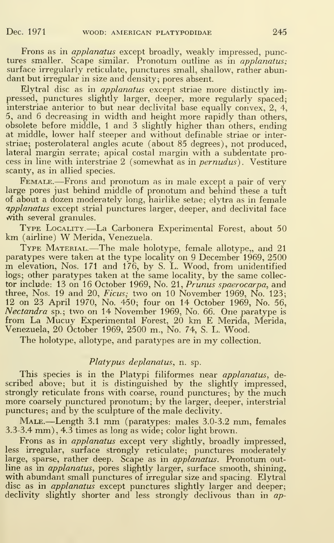Frons as in applanatus except broadly, weakly impressed, punctures smaller. Scape similar. Pronotum outline as in *applanatus*: surface irregularly reticulate, punctures small, shallow, rather abundant but irregular in size and density; pores absent.

Elytral disc as in applanatus except striae more distinctly impressed, punctures slightly larger, deeper, more regularly spaced; interstriae anterior to but near declivital base equally convex, 2, 4, 5, and 6 decreasing in width and height more rapidly than others, obsolete before middle, <sup>1</sup> and 3 slightly higher than others, ending at middle, lower half steeper and without definable striae or interstriae; posterolateral angles acute (about 85 degrees), not produced, lateral margin serrate; apical costal margin with a subdentate process in line with interstriae 2 (somewhat as in pernudus) . Vestiture scanty, as in allied species.

FEMALE.—Frons and pronotum as in male except a pair of very large pores just behind middle of pronotum and behind these a tuft of about a dozen moderately long, hairlike setae; elytra as in female applanatus except strial punctures larger, deeper, and declivital face with several granules.

Type Locality.—La Carbonera Experimental Forest, about <sup>50</sup> km (airline) W Merida, Venezuela.

TYPE MATERIAL.—The male holotype, female allotype,, and 21 paratypes were taken at the type locality on 9 December 1969, 2500 m elevation, Nos. <sup>171</sup> and 176, by S. L. Wood, from unidentified logs; other paratypes taken at the same locality, by the same collec tor include: 13 on 16 October 1969, No. 21, Prunus spaerocarpa, and three, Nos. 19 and 20,  $Ficus$ ; two on 10 November 1969, No. 123; 12 on 23 April 1970, No. 450; four on 14 October 1969, No. 56, Nectandra sp.; two on 14 November 1969, No. 66. One paratype is from La Mucuy Experimental Forest, 20 km E Merida, Merida, Venezuela, 20 October 1969, 2500 m., No. 74, S. L. Wood.

The holotype, allotype, and paratypes are in my collection.

#### Platypus deplanatus, n. sp.

This species is in the Platypi filiformes near *applanatus*, described above; but it is distinguished by the slightly impressed, strongly reticulate frons with coarse, round punctures; by the much more coarsely punctured pronotum; by the larger, deeper, interstrial punctures; and by the sculpture of the male declivity.

MALE.—Length 3.1 mm (paratypes: males 3.0-3.2 mm, females 3.3-3.4 mm), 4.3 times as long as wide; color light brown.

Frons as in *applanatus* except very slightly, broadly impressed, less irregular, surface strongly reticulate; punctures moderately large, sparse, rather deep. Scape as in *applanatus*. Pronotum outline as in *applanatus*, pores slightly larger, surface smooth, shining, with abundant small punctures of irregular size and spacing. Elytral disc as in *applanatus* except punctures slightly larger and deeper; declivity slightly shorter and less strongly declivous than in ap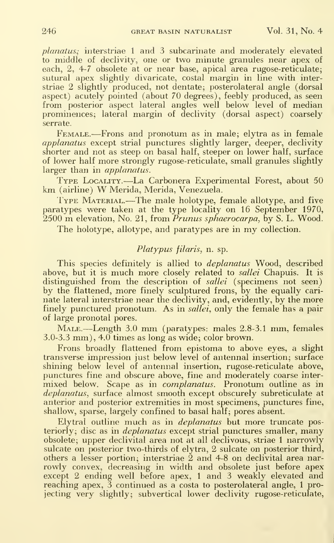planatus; interstriae <sup>1</sup> and 3 subcarinate and moderately elevated to middle of declivity, one or two minute granules near apex of each, 2, 4-7 obsolete at or near base, apical area rugose-reticulate; sutural apex slightly divaricate, costal margin in line with interstriae 2 slightly produced, not dentate; posterolateral angle (dorsal aspect) acutely pointed (about 70 degrees), feebly produced, as seen from posterior aspect lateral angles well below level of median prominences; lateral margin of declivity (dorsal aspect) coarsely serrate.

Female.—Frons and pronotum as in male; elytra as in female applanatus except strial punctures slightly larger, deeper, declivity shorter and not as steep on basal half, steeper on lower half, surface of lower half more strongly rugose-reticulate, small granules slightly larger than in *applanatus*.

Type Locality.—La Carbonera Experimental Forest, about <sup>50</sup> km (airline) W Merida, Merida, Venezuela.<br>Type Maxenial.—The male holotype, female allotype, and five

paratypes were taken at the type locality on 16 September 1970,  $2500 \text{ m}$  elevation, No. 21, from *Prunus sphaerocarpa*, by S. L. Wood.

The holotype, allotype, and paratypes are in my collection.

#### Platypus filaris, n. sp.

This species definitely is allied to *deplanatus* Wood, described above, but it is much more closely related to *sallei* Chapuis. It is distinguished from the description of *sallei* (specimens not seen) by the flattened, more finely sculptured frons, by the equally cari nate lateral interstriae near the declivity, and, evidently, by the more finely punctured pronotum. As in *sallei*, only the female has a pair of large pronotal pores.

Male.—Length 3.0 mm (paratypes: males 2.8-3.1 mm, females 3.0-3.3 mm), 4.0 times as long as wide; color brown.

Frons broadly flattened from epistoma to above eyes, a slight transverse impression just below level of antennal insertion; surface shining below level of antennal insertion, rugose-reticulate above, punctures fine and obscure above, fine and moderately coarse inter mixed below. Scape as in *complanatus*. Pronotum outline as in deplanatus, surface almost smooth except obscurely subreticulate at anterior and posterior extremities in most specimens, punctures fine, shallow, sparse, largely confined to basal half; pores absent.

Elytral outline much as in *deplanatus* but more truncate posteriorly; disc as in *deplanatus* except strial punctures smaller, many obsolete; upper declivital area not at all declivous, striae <sup>1</sup> narrowly sulcate on posterior two-thirds of elytra, 2 sulcate on posterior third, others a lesser portion; interstriae 2 and 4-8 on declivital area nar rowly convex, decreasing in width and obsolete just before apex except 2 ending well before apex, <sup>1</sup> and 3 weakly elevated and reaching apex,  $\bar{3}$  continued as a costa to posterolateral angle, 1 projecting very slightly; subvertical lower declivity rugose-reticulate,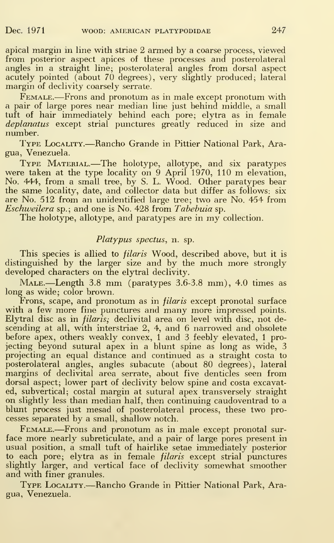apical margin in line with striae 2 armed by a coarse process, viewed from posterior aspect apices of these processes and posterolateral angles in a straight line; posterolateral angles from dorsal aspect acutely pointed (about 70 degrees), very slightly produced; lateral margin of declivity coarsely serrate.

FEMALE.—Frons and pronotum as in male except pronotum with a pair of large pores near median line just behind middle, a small tuft of hair immediately behind each pore; elytra as in female deplanatus except strial punctures greatly reduced in size and number.

Type Locality.—Rancho Grande in Pittier National Park, Aragua, Venezuela.

Type Material.—The holotype, allotype, and six paratypes were taken at the type locality on <sup>9</sup> April 1970, <sup>110</sup> <sup>m</sup> elevation, No. 444, from a small tree, by S. L. Wood. Other paratypes bear the same locality, date, and collector data but differ as follows: six are No. 512 from an unidentified large tree; two are No. 454 from Eschweilera sp.; and one is No. 428 from Tabebuia sp.

The holotype, allotype, and paratypes are in my collection.

#### Platypus spectus, n. sp.

This species is allied to *filaris* Wood, described above, but it is distinguished by the larger size and by the much more strongly developed characters on the elytral declivity.

Male.—Length 3.8 mm (paratypes 3.6-3.8 mm), 4.0 times as long as wide; color brown.

Frons, scape, and pronotum as in *filaris* except pronotal surface with <sup>a</sup> few more fine punctures and many more impressed points. Elytral disc as in *filaris*; declivital area on level with disc, not descending at all, with interstriae 2, 4, and 6 narrowed and obsolete before apex, others weakly convex, <sup>1</sup> and 3 feebly elevated, <sup>1</sup> projecting beyond sutural apex in a blunt spine as long as wide, 3 projecting an equal distance and continued as a straight costa to posterolateral angles, angles subacute (about 80 degrees), lateral margins of declivital area serrate, about five denticles seen from dorsal aspect; lower part of declivity below spine and costa excavated, subvertical; costal margin at sutural apex transversely straight on slightly less than median half, then continuing caudoventrad to a blunt process just mesad of posterolateral process, these two processes separated by a small, shallow notch.

FEMALE.—Frons and pronotum as in male except pronotal surface more nearly subreticulate, and a pair of large pores present in usual position, a small tuft of hairlike setae immediately posterior to each pore; elytra as in female filaris except strial punctures slightly larger, and vertical face of declivity somewhat smoother and with finer granules.

Type Locality.—Rancho Grande in Pittier National Park, Aragua, Venezuela.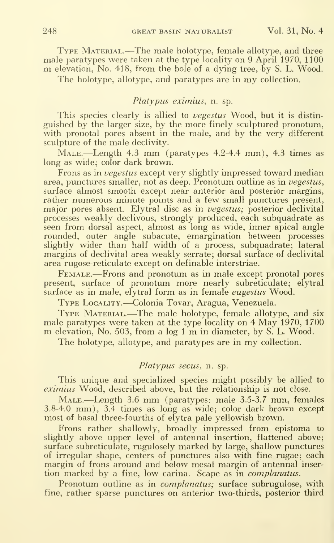Type Material.—The male holotype, female allotype, and three male paratypes were taken at the type locality on 9 April 1970, 1100 m elevation, No. 418, from the bole of <sup>a</sup> dying tree, by S. L. Wood.

The holotype, allotype, and paratypes are in my collection.

#### Platypus eximius, n. sp.

This species clearly is allied to vegestus Wood, but it is distinguished by the larger size, by the more finely sculptured pronotum, with pronotal pores absent in the male, and by the very different sculpture of the male declivity.

Male.—Length 4.3 mm (paratypes 4.2-4.4 mm), 4.3 times as long as wide; color dark brown.

Frons as in vegestus except very slightly impressed toward median area, punctures smaller, not as deep. Pronotum outline as in vegestus, surface almost smooth except near anterior and posterior margins, rather numerous minute points and a few small punctures present, major pores absent. Elytral disc as in vegestus; posterior declivital processes weakly declivous, strongly produced, each subquadrate as seen from dorsal aspect, almost as long as wide, inner apical angle rounded, outer angle subacute, emargination between processes slightly wider than half width of a process, subquadrate; lateral margins of declivital area weakly serrate; dorsal surface of declivital area rugose-reticulate except on definable interstriae.

Female.—Frons and pronotum as in male except pronotal pores present, surface of pronotum more nearly subreticulate; elytral surface as in male, elytral form as in female *eugestus* Wood.

Type Locality.—Colonia Tovar, Aragua, Venezuela.<br>Type Material.—The male holotype, female allotype, and six male paratypes were taken at the type locality on 4 May 1970, 1700 m elevation, No. 503, from <sup>a</sup> log <sup>1</sup> m in diameter, by S. L. Wood.

The holotype, allotype, and paratypes are in my collection.

#### Platypus secus, n. sp.

This unique and specialized species might possibly be allied to eximius Wood, described above, but the relationship is not close.

MALE.—Length 3.6 mm (paratypes: male 3.5-3.7 mm, females 3.8-4.0 mm), 3.4 times as long as wide; color dark brown except most of basal three-fourths of elytra pale yellowish brown.

Frons rather shallowly, broadly impressed from epistoma to slightly above upper level of antennal insertion, flattened above; surface subreticulate, rugulosely marked by large, shallow punctures of irregular shape, centers of punctures also with fine rugae; each margin of frons around and below mesal margin of antennal inser tion marked by a fine, low carina. Scape as in *complanatus*.

Pronotum outline as in *complanatus*; surface subrugulose, with fine, rather sparse punctures on anterior two-thirds, posterior third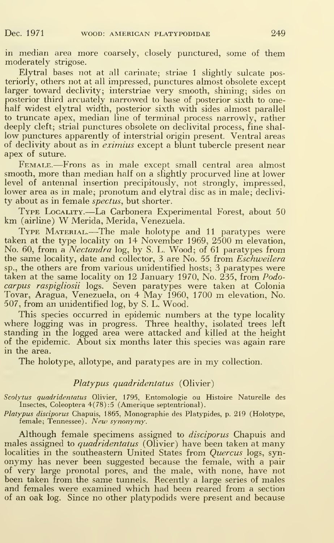in median area more coarsely, closely punctured, some of them moderately strigose.

Elytral bases not at all carinate; striae <sup>1</sup> slightly sulcate posteriorly, others not at all impressed, punctures almost obsolete except larger toward declivity; interstriae very smooth, shining; sides on posterior third arcuately narrowed to base of posterior sixth to onehalf widest elytral width, posterior sixth with sides almost parallel to truncate apex, median line of terminal process narrowly, rather deeply cleft; strial punctures obsolete on declivital process, fine shal low punctures apparently of interstrial origin present. Ventral areas of declivity about as in *eximius* except a blunt tubercle present near apex of suture.

FEMALE.—Frons as in male except small central area almost smooth, more than median half on a slightly procurved line at lower level of antennal insertion precipitously, not strongly, impressed, lower area as in male; pronotum and elytral disc as in male; declivi ty about as in female *spectus*, but shorter.

Type Locality.—La Carbonera Experimental Forest, about <sup>50</sup> km (airline) W Merida, Merida, Venezuela.

TYPE MATERIAL.—The male holotype and 11 paratypes were taken at the type locality on 14 November 1969, 2500 m elevation, No. 60, from a *Nectandra* log, by S. L. Wood; of 61 paratypes from the same locality, date and collector, 3 are No. 55 from *Eschweilera* sp., the others are from various unidentified hosts; 3 paratypes were taken at the same locality on 12 January 1970, No. 235, from Podocarpus raspigliosii logs. Seven paratypes were taken at Colonia Tovar, Aragua, Venezuela, on <sup>4</sup> May 1960, <sup>1700</sup> m elevation, No. 507, from an unidentified log, by S. L. Wood.

This species occurred in epidemic numbers at the type locality where logging was in progress. Three healthy, isolated trees left standing in the logged area were attacked and killed at the height of the epidemic. About six months later this species was again rare in the area.

The holotype, allotype, and paratypes are in my collection.

#### Platypus quadridentatus (Olivier)

Scolytus quadridentatus Olivier, 1795, Entomologie ou Histoire Naturelle des Insectes, Coleoptera 4(78) :5 (Amerique septentrional).

Platypus disciporus Chapuis, 1865, Monographie des Platypides, p. 219 (Holotype, female; Tennessee). New synonymy.

Although female specimens assigned to *disciporus* Chapuis and males assigned to *quadridentatus* (Olivier) have been taken at many localities in the southeastern United States from *Quercus* logs, synonymy has never been suggested because the female, with <sup>a</sup> pair of very large pronotal pores, and the male, with none, have not been taken from the same tunnels. Recently a large series of males and females were examined which had been reared from a section of an oak log. Since no other platypodids were present and because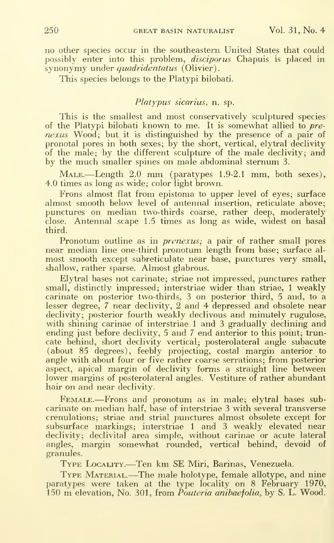no other species occur in the southeastern United States that could possibly enter into this problem, disciporus Chapuis is placed in synonymy under *quadridentatus* (Olivier).

This species belongs to the Platypi bilobati.

#### Platypus sicarius, n. sp.

This is the smallest and most conservatively sculptured species of the Platypi bilobati known to me. It is somewhat allied to prenexus Wood; but it is distinguished by the presence of a pair of pronotal pores in both sexes; by the short, vertical, elytral declivity of the male; by the different sculpture of the male declivity; and by the much smaller spines on male abdominal sternum 3.

Male.—Length 2.0 mm (paratypes 1.9-2.1 mm, both sexes), 4.0 times as long as wide; color light brown.

Frons almost flat from epistoma to upper level of eyes; surface almost smooth below level of antennal insertion, reticulate above; punctures on median two-thirds coarse, rather deep, moderately close. Antennal scape 1.5 times as long as wide, widest on basal third.

Pronotum outline as in *prenexus*; a pair of rather small pores near median line one-third pronotum length from base; surface almost smooth except subreticulate near base, punctures very small, shallow, rather sparse. Almost glabrous.

Elytral bases not carinate; striae not impressed, punctures rather small, distinctly impressed; interstriae wider than striae, <sup>1</sup> weakly carinate on posterior two-thirds, 3 on posterior third, 5 and, to a lesser degree, 7 near declivity,  $2$  and 4 depressed and obsolete near declivity; posterior fourth weakly declivous and minutely rugulose, with shining carinae of interstriae 1 and 3 gradually declining and ending just before declivity, 5 and 7 end anterior to this point; truncate behind, short declivity vertical; posterolateral angle subacute (about 85 degrees), feebly projecting, costal margin anterior to angle with about four or five rather coarse serrations; from posterior aspect, apical margin of declivity forms a straight line between lower margins of posterolateral angles. Vestiture of rather abundant hair on and near declivity.

FEMALE.—Frons and pronotum as in male; elytral bases subcarinate on median half, base of interstriae 3 with several transverse crenulations; striae and strial punctures almost obsolete except for subsurface markings; interstriae <sup>1</sup> and 3 weakly elevated near declivity; declivital area simple, without carinae or acute lateral angles, margin somewhat rounded, vertical behind, devoid of granules.

Type Locality.—Ten km SE Miri, Barinas, Venezuela.

Type Material.—The male holotype, female allotype, and nine paratypes were taken at the type locality on 8 February 1970, 150 m elevation, No. 301, from  $\tilde{P}$ outeria anibaefolia, by S. L. Wood.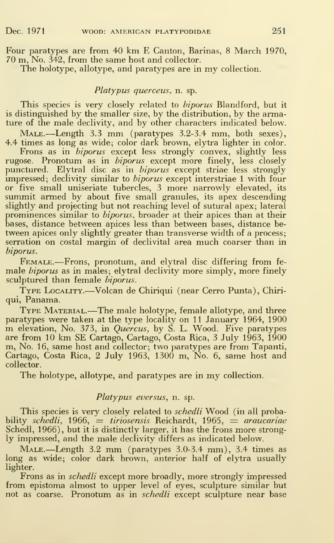Four paratypes are from 40 km E Canton, Barinas, <sup>8</sup> March 1970, 70 m, No. 342, from the same host and collector.

The holotype, allotype, and paratypes are in my collection.

#### Platypus querceus, n. sp.

This species is very closely related to *biporus* Blandford, but it is distinguished by the smaller size, by the distribution, by the armature of the male declivity, and by other characters indicated below.

MALE.—Length 3.3 mm (paratypes 3.2-3.4 mm, both sexes), 4.4 times as long as wide; color dark brown, elytra lighter in color.

Frons as in *biporus* except less strongly convex, slightly less rugose. Pronotum as in *biporus* except more finely, less closely punctured. Elytral disc as in *biporus* except striae less strongly  $\frac{1}{2}$  impressed; declivity similar to *biporus* except interstriae 1 with four or five small uniseriate tubercles, <sup>3</sup> more narrowly elevated, its summit armed by about five small granules, its apex descending slightly and projecting but not reaching level of sutural apex; lateral prominences similar to *biporus*, broader at their apices than at their bases, distance between apices less than between bases, distance be tween apices only slightly greater than transverse width of a process; serration on costal margin of declivital area much coarser than in biporus.

Female.—Frons, pronotum, and elytral disc differing from fe- male biporus as in males; elytral declivity more simply, more finely sculptured than female *biporus*.

Type Locality.—Volcan de Chiriqui (near Cerro Punta), Chiriqui, Panama.

TYPE MATERIAL.—The male holotype, female allotype, and three paratypes were taken at the type locality on 11 January 1964, 1900 m elevation, No. 373, in Quercus, by S. L. Wood. Five paratypes are from <sup>10</sup> km SE Cartago, Cartago, Costa Rica, <sup>3</sup> July 1963, 1900 m, No. 16, same host and collector; two paratypes are from Tapanti, Cartago, Costa Rica, 2 July 1963, 1300 m, No. 6, same host and collector.

The holotype, allotype, and paratypes are in my collection.

#### Platypus eversus, n. sp.

This species is very closely related to *schedli* Wood (in all probability schedli, 1966,  $=$  tiriosensis Reichardt, 1965,  $=$  araucariae Schedl, 1966), but it is distinctly larger, it has the frons more strongly impressed, and the male declivity differs as indicated below.

Male.—Length 3.2 mm (paratypes 3.0-3.4 mm), 3.4 times as long as wide; color dark brown, anterior half of elytra usually lighter.

Frons as in schedli except more broadly, more strongly impressed from epistoma almost to upper level of eyes, sculpture similar but not as coarse. Pronotum as in *schedli* except sculpture near base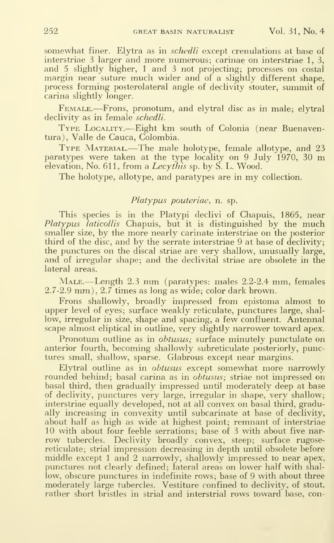somewhat finer. Elytra as in *schedli* except crenulations at base of interstriae 3 larger and more numerous; carinae on interstriae 1, 3, and 5 slightly higher, <sup>1</sup> and 3 not projecting; processes on costal margin near suture much wider and of <sup>a</sup> slightly different shape, process forming posterolateral angle of declivity stouter, summit of carina slightly longer.

Female.—Frons, pronotum, and elytral disc as in male; elytral declivity as in female *schedli*.

Type Locality.—Eight km south of Colonia (near Buenaventura), Valle de Cauca, Colombia.

TYPE MATERIAL.—The male holotype, female allotype, and 23 paratypes were taken at the type locality on 9 July  $1970$ , 30 m elevation, No. 611, from a  $Lec\gamma$ this sp. by S. L. Wood.

The holotype, allotype, and paratypes are in my collection.

## Platypus pouteriae, n. sp.

This species is in the Platypi declivi of Chapuis, 1865, near  $Platypus$  *laticollis* Chapuis, but it is distinguished by the much smaller size, by the more nearly carinate interstriae on the posterior third of the disc, and by the serrate interstriae 9 at base of declivity; the punctures on the discal striae are very shallow, unusually large, and of irregular shape; and the declivital striae are obsolete in the lateral areas.

MALE.—Length 2.3 mm (paratypes: males 2.2-2.4 mm, females 2.7-2.9 mm), 2.7 times as long as wide; color dark brown.

Frons shallowly, broadly impressed from epistoma almost to upper level of eyes; surface weakly reticulate, punctures large, shal low, irregular in size, shape and spacing, a few confluent. Antennal scape almost eliptical in outline, very slightly narrower toward apex.

Pronotum outline as in *obtusus*; surface minutely punctulate on anterior fourth, becoming shallowly subreticulate posteriorly, punctures small, shallow, sparse. Glabrous except near margins.

Elytral outline as in *obtusus* except somewhat more narrowly rounded behind; basal carina as in *obtusus*; striae not impressed on basal third, then gradually impressed until moderately deep at base of declivity, punctures very large, irregular in shape, very shallow; interstriae equally developed, not at all convex on basal third, gradually increasing in convexity until subcarinate at base of declivity, about half as high as wide at highest point; remnant of interstriae 10 with about four feeble serrations; base of 3 with about five nar row tubercles. Declivity broadly convex, steep; surface rugosereticulate; strial impression decreasing in depth until obsolete before middle except <sup>1</sup>and 2 narrowly, shallowly impressed to near apex, punctures not clearly defined; lateral areas on lower half with shal low, obscure punctures in indefinite rows; base of 9 with about three moderately large tubercles. Vestiture confined to declivity, of stout, rather short bristles in strial and interstrial rows toward base, con